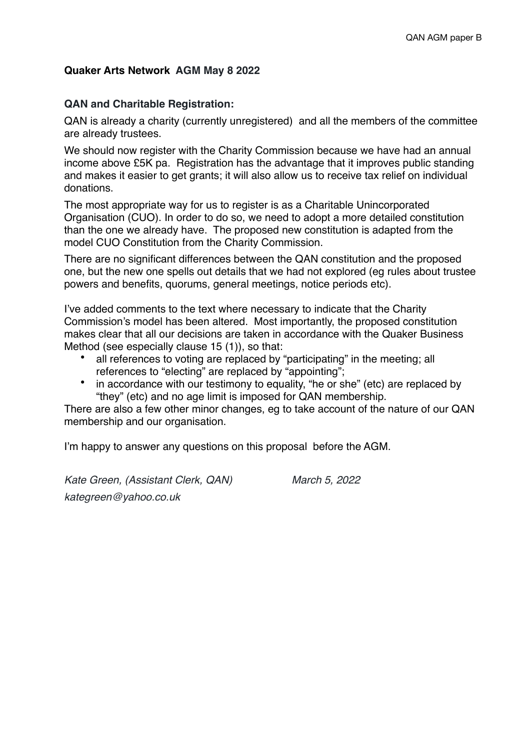# **Quaker Arts Network AGM May 8 2022**

## **QAN and Charitable Registration:**

QAN is already a charity (currently unregistered) and all the members of the committee are already trustees.

We should now register with the Charity Commission because we have had an annual income above £5K pa. Registration has the advantage that it improves public standing and makes it easier to get grants; it will also allow us to receive tax relief on individual donations.

The most appropriate way for us to register is as a Charitable Unincorporated Organisation (CUO). In order to do so, we need to adopt a more detailed constitution than the one we already have. The proposed new constitution is adapted from the model CUO Constitution from the Charity Commission.

There are no significant differences between the QAN constitution and the proposed one, but the new one spells out details that we had not explored (eg rules about trustee powers and benefits, quorums, general meetings, notice periods etc).

I've added comments to the text where necessary to indicate that the Charity Commission's model has been altered. Most importantly, the proposed constitution makes clear that all our decisions are taken in accordance with the Quaker Business Method (see especially clause 15 (1)), so that:

- all references to voting are replaced by "participating" in the meeting; all references to "electing" are replaced by "appointing";
- in accordance with our testimony to equality, "he or she" (etc) are replaced by "they" (etc) and no age limit is imposed for QAN membership.

There are also a few other minor changes, eg to take account of the nature of our QAN membership and our organisation.

I'm happy to answer any questions on this proposal before the AGM.

*Kate Green, (Assistant Clerk, QAN) March 5, 2022 kategreen@yahoo.co.uk*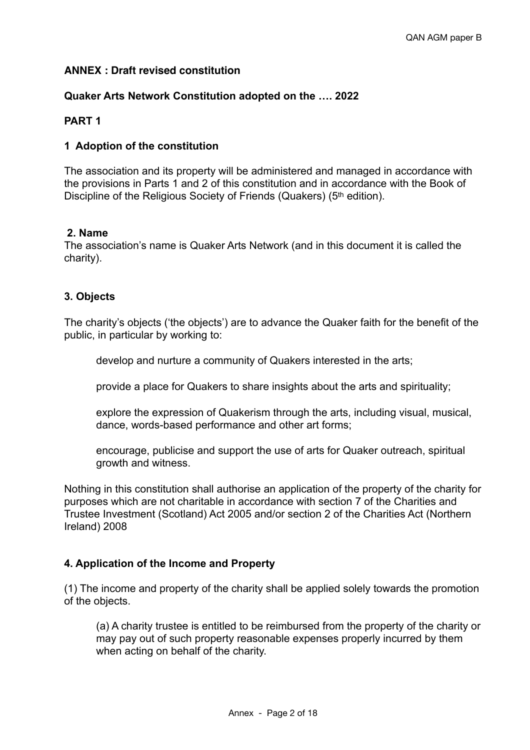# **ANNEX : Draft revised constitution**

## **Quaker Arts Network Constitution adopted on the …. 2022**

## **PART 1**

### **1 Adoption of the constitution**

The association and its property will be administered and managed in accordance with the provisions in Parts 1 and 2 of this constitution and in accordance with the Book of Discipline of the Religious Society of Friends (Quakers) (5<sup>th</sup> edition).

### **2. Name**

The association's name is Quaker Arts Network (and in this document it is called the charity).

## **3. Objects**

The charity's objects ('the objects') are to advance the Quaker faith for the benefit of the public, in particular by working to:

develop and nurture a community of Quakers interested in the arts;

provide a place for Quakers to share insights about the arts and spirituality;

explore the expression of Quakerism through the arts, including visual, musical, dance, words-based performance and other art forms;

encourage, publicise and support the use of arts for Quaker outreach, spiritual growth and witness.

Nothing in this constitution shall authorise an application of the property of the charity for purposes which are not charitable in accordance with section 7 of the Charities and Trustee Investment (Scotland) Act 2005 and/or section 2 of the Charities Act (Northern Ireland) 2008

#### **4. Application of the Income and Property**

(1) The income and property of the charity shall be applied solely towards the promotion of the objects.

(a) A charity trustee is entitled to be reimbursed from the property of the charity or may pay out of such property reasonable expenses properly incurred by them when acting on behalf of the charity.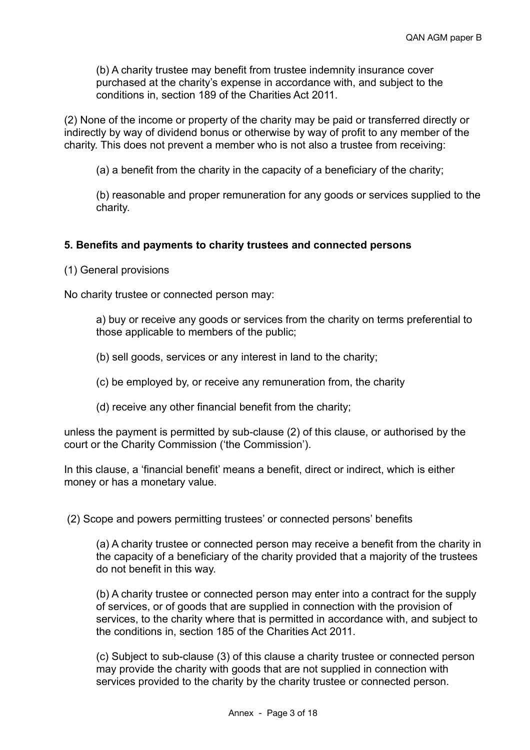(b) A charity trustee may benefit from trustee indemnity insurance cover purchased at the charity's expense in accordance with, and subject to the conditions in, section 189 of the Charities Act 2011.

(2) None of the income or property of the charity may be paid or transferred directly or indirectly by way of dividend bonus or otherwise by way of profit to any member of the charity. This does not prevent a member who is not also a trustee from receiving:

(a) a benefit from the charity in the capacity of a beneficiary of the charity;

(b) reasonable and proper remuneration for any goods or services supplied to the charity.

## **5. Benefits and payments to charity trustees and connected persons**

(1) General provisions

No charity trustee or connected person may:

a) buy or receive any goods or services from the charity on terms preferential to those applicable to members of the public;

(b) sell goods, services or any interest in land to the charity;

(c) be employed by, or receive any remuneration from, the charity

(d) receive any other financial benefit from the charity;

unless the payment is permitted by sub-clause (2) of this clause, or authorised by the court or the Charity Commission ('the Commission').

In this clause, a 'financial benefit' means a benefit, direct or indirect, which is either money or has a monetary value.

(2) Scope and powers permitting trustees' or connected persons' benefits

(a) A charity trustee or connected person may receive a benefit from the charity in the capacity of a beneficiary of the charity provided that a majority of the trustees do not benefit in this way.

(b) A charity trustee or connected person may enter into a contract for the supply of services, or of goods that are supplied in connection with the provision of services, to the charity where that is permitted in accordance with, and subject to the conditions in, section 185 of the Charities Act 2011.

(c) Subject to sub-clause (3) of this clause a charity trustee or connected person may provide the charity with goods that are not supplied in connection with services provided to the charity by the charity trustee or connected person.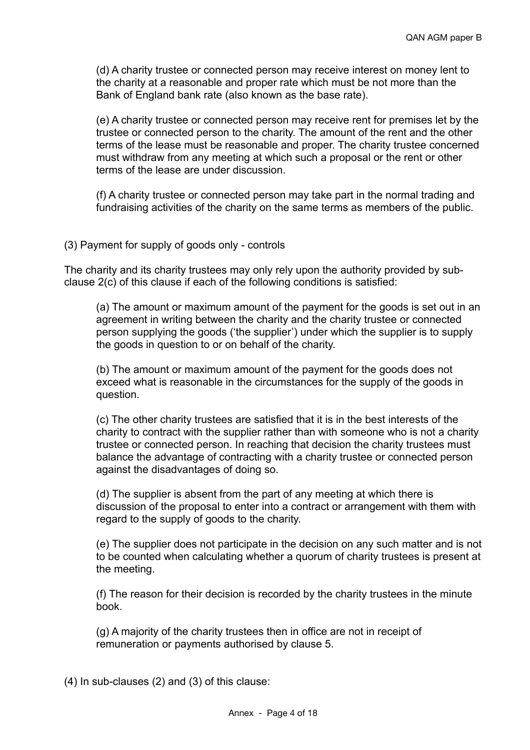(d) A charity trustee or connected person may receive interest on money lent to the charity at a reasonable and proper rate which must be not more than the Bank of England bank rate (also known as the base rate).

(e) A charity trustee or connected person may receive rent for premises let by the trustee or connected person to the charity. The amount of the rent and the other terms of the lease must be reasonable and proper. The charity trustee concerned must withdraw from any meeting at which such a proposal or the rent or other terms of the lease are under discussion.

(f) A charity trustee or connected person may take part in the normal trading and fundraising activities of the charity on the same terms as members of the public.

### (3) Payment for supply of goods only - controls

The charity and its charity trustees may only rely upon the authority provided by subclause 2(c) of this clause if each of the following conditions is satisfied:

(a) The amount or maximum amount of the payment for the goods is set out in an agreement in writing between the charity and the charity trustee or connected person supplying the goods ('the supplier') under which the supplier is to supply the goods in question to or on behalf of the charity.

(b) The amount or maximum amount of the payment for the goods does not exceed what is reasonable in the circumstances for the supply of the goods in question.

(c) The other charity trustees are satisfied that it is in the best interests of the charity to contract with the supplier rather than with someone who is not a charity trustee or connected person. In reaching that decision the charity trustees must balance the advantage of contracting with a charity trustee or connected person against the disadvantages of doing so.

(d) The supplier is absent from the part of any meeting at which there is discussion of the proposal to enter into a contract or arrangement with them with regard to the supply of goods to the charity.

(e) The supplier does not participate in the decision on any such matter and is not to be counted when calculating whether a quorum of charity trustees is present at the meeting.

(f) The reason for their decision is recorded by the charity trustees in the minute book.

(g) A majority of the charity trustees then in office are not in receipt of remuneration or payments authorised by clause 5.

(4) In sub-clauses (2) and (3) of this clause: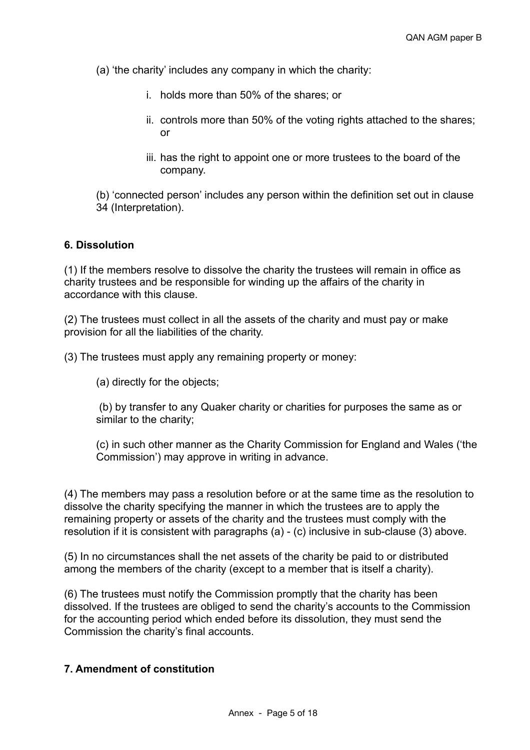(a) 'the charity' includes any company in which the charity:

- i. holds more than 50% of the shares; or
- ii. controls more than 50% of the voting rights attached to the shares; or
- iii. has the right to appoint one or more trustees to the board of the company.

(b) 'connected person' includes any person within the definition set out in clause 34 (Interpretation).

### **6. Dissolution**

(1) If the members resolve to dissolve the charity the trustees will remain in office as charity trustees and be responsible for winding up the affairs of the charity in accordance with this clause.

(2) The trustees must collect in all the assets of the charity and must pay or make provision for all the liabilities of the charity.

(3) The trustees must apply any remaining property or money:

(a) directly for the objects;

 (b) by transfer to any Quaker charity or charities for purposes the same as or similar to the charity;

(c) in such other manner as the Charity Commission for England and Wales ('the Commission') may approve in writing in advance.

(4) The members may pass a resolution before or at the same time as the resolution to dissolve the charity specifying the manner in which the trustees are to apply the remaining property or assets of the charity and the trustees must comply with the resolution if it is consistent with paragraphs (a) - (c) inclusive in sub-clause (3) above.

(5) In no circumstances shall the net assets of the charity be paid to or distributed among the members of the charity (except to a member that is itself a charity).

(6) The trustees must notify the Commission promptly that the charity has been dissolved. If the trustees are obliged to send the charity's accounts to the Commission for the accounting period which ended before its dissolution, they must send the Commission the charity's final accounts.

# **7. Amendment of constitution**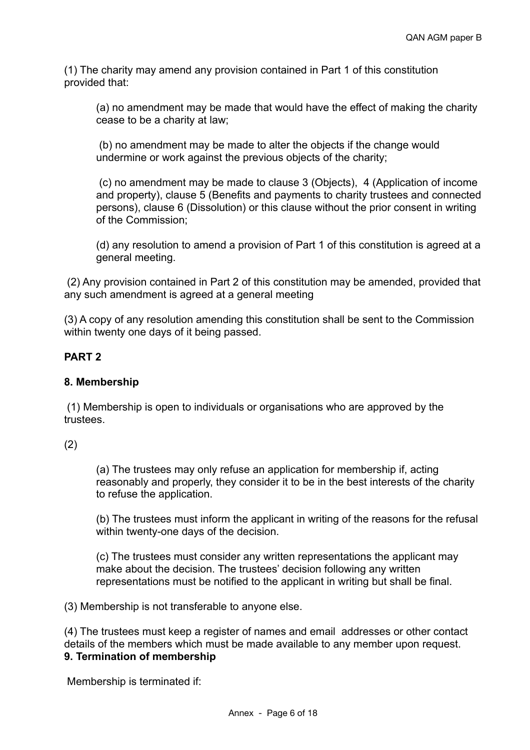(1) The charity may amend any provision contained in Part 1 of this constitution provided that:

(a) no amendment may be made that would have the effect of making the charity cease to be a charity at law;

 (b) no amendment may be made to alter the objects if the change would undermine or work against the previous objects of the charity;

 (c) no amendment may be made to clause 3 (Objects), 4 (Application of income and property), clause 5 (Benefits and payments to charity trustees and connected persons), clause 6 (Dissolution) or this clause without the prior consent in writing of the Commission;

(d) any resolution to amend a provision of Part 1 of this constitution is agreed at a general meeting.

 (2) Any provision contained in Part 2 of this constitution may be amended, provided that any such amendment is agreed at a general meeting

(3) A copy of any resolution amending this constitution shall be sent to the Commission within twenty one days of it being passed.

# **PART 2**

## **8. Membership**

 (1) Membership is open to individuals or organisations who are approved by the trustees.

(2)

(a) The trustees may only refuse an application for membership if, acting reasonably and properly, they consider it to be in the best interests of the charity to refuse the application.

(b) The trustees must inform the applicant in writing of the reasons for the refusal within twenty-one days of the decision.

(c) The trustees must consider any written representations the applicant may make about the decision. The trustees' decision following any written representations must be notified to the applicant in writing but shall be final.

(3) Membership is not transferable to anyone else.

(4) The trustees must keep a register of names and email addresses or other contact details of the members which must be made available to any member upon request. **9. Termination of membership**

Membership is terminated if: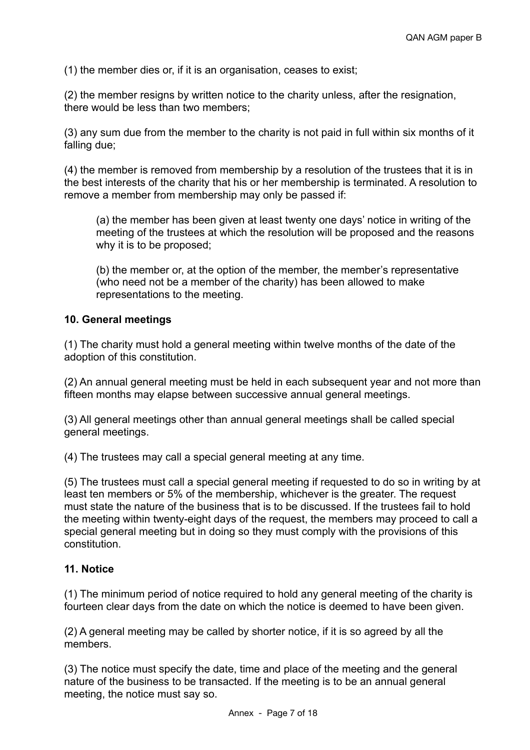(1) the member dies or, if it is an organisation, ceases to exist;

(2) the member resigns by written notice to the charity unless, after the resignation, there would be less than two members;

(3) any sum due from the member to the charity is not paid in full within six months of it falling due;

(4) the member is removed from membership by a resolution of the trustees that it is in the best interests of the charity that his or her membership is terminated. A resolution to remove a member from membership may only be passed if:

(a) the member has been given at least twenty one days' notice in writing of the meeting of the trustees at which the resolution will be proposed and the reasons why it is to be proposed;

(b) the member or, at the option of the member, the member's representative (who need not be a member of the charity) has been allowed to make representations to the meeting.

## **10. General meetings**

(1) The charity must hold a general meeting within twelve months of the date of the adoption of this constitution.

(2) An annual general meeting must be held in each subsequent year and not more than fifteen months may elapse between successive annual general meetings.

(3) All general meetings other than annual general meetings shall be called special general meetings.

(4) The trustees may call a special general meeting at any time.

(5) The trustees must call a special general meeting if requested to do so in writing by at least ten members or 5% of the membership, whichever is the greater. The request must state the nature of the business that is to be discussed. If the trustees fail to hold the meeting within twenty-eight days of the request, the members may proceed to call a special general meeting but in doing so they must comply with the provisions of this constitution.

## **11. Notice**

(1) The minimum period of notice required to hold any general meeting of the charity is fourteen clear days from the date on which the notice is deemed to have been given.

(2) A general meeting may be called by shorter notice, if it is so agreed by all the members.

(3) The notice must specify the date, time and place of the meeting and the general nature of the business to be transacted. If the meeting is to be an annual general meeting, the notice must say so.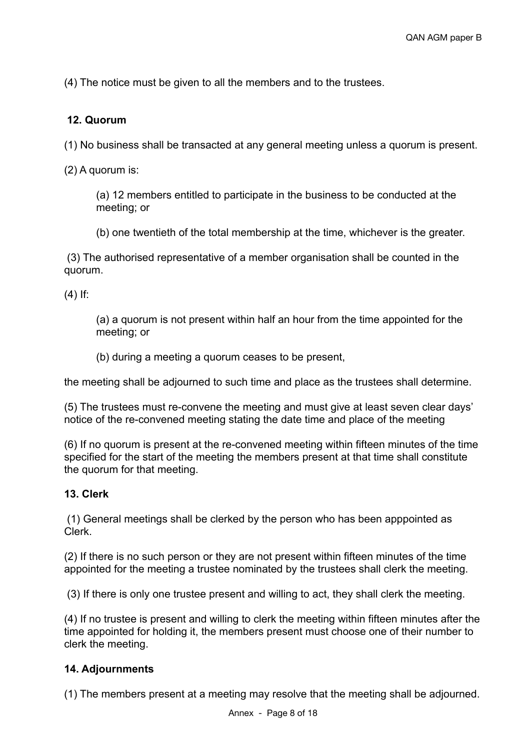(4) The notice must be given to all the members and to the trustees.

# **12. Quorum**

(1) No business shall be transacted at any general meeting unless a quorum is present.

(2) A quorum is:

(a) 12 members entitled to participate in the business to be conducted at the meeting; or

(b) one twentieth of the total membership at the time, whichever is the greater.

 (3) The authorised representative of a member organisation shall be counted in the quorum.

 $(4)$  If:

(a) a quorum is not present within half an hour from the time appointed for the meeting; or

(b) during a meeting a quorum ceases to be present,

the meeting shall be adjourned to such time and place as the trustees shall determine.

(5) The trustees must re-convene the meeting and must give at least seven clear days' notice of the re-convened meeting stating the date time and place of the meeting

(6) If no quorum is present at the re-convened meeting within fifteen minutes of the time specified for the start of the meeting the members present at that time shall constitute the quorum for that meeting.

## **13. Clerk**

 (1) General meetings shall be clerked by the person who has been apppointed as Clerk.

(2) If there is no such person or they are not present within fifteen minutes of the time appointed for the meeting a trustee nominated by the trustees shall clerk the meeting.

(3) If there is only one trustee present and willing to act, they shall clerk the meeting.

(4) If no trustee is present and willing to clerk the meeting within fifteen minutes after the time appointed for holding it, the members present must choose one of their number to clerk the meeting.

## **14. Adjournments**

(1) The members present at a meeting may resolve that the meeting shall be adjourned.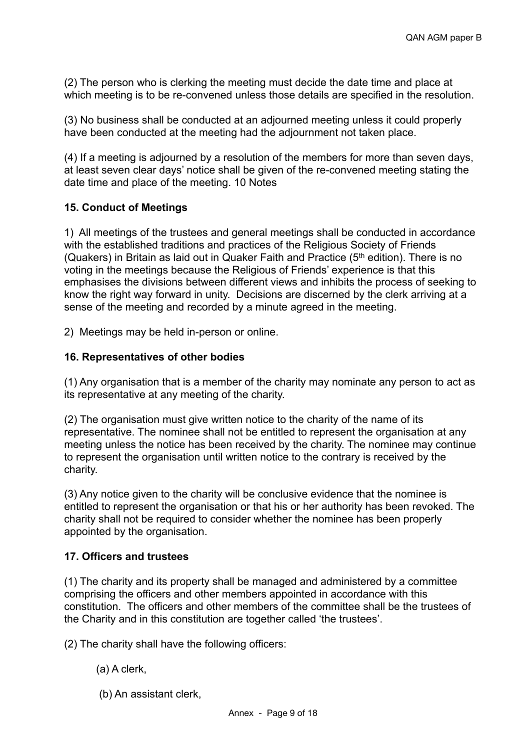(2) The person who is clerking the meeting must decide the date time and place at which meeting is to be re-convened unless those details are specified in the resolution.

(3) No business shall be conducted at an adjourned meeting unless it could properly have been conducted at the meeting had the adjournment not taken place.

(4) If a meeting is adjourned by a resolution of the members for more than seven days, at least seven clear days' notice shall be given of the re-convened meeting stating the date time and place of the meeting. 10 Notes

# **15. Conduct of Meetings**

1) All meetings of the trustees and general meetings shall be conducted in accordance with the established traditions and practices of the Religious Society of Friends (Quakers) in Britain as laid out in Quaker Faith and Practice ( $5<sup>th</sup>$  edition). There is no voting in the meetings because the Religious of Friends' experience is that this emphasises the divisions between different views and inhibits the process of seeking to know the right way forward in unity. Decisions are discerned by the clerk arriving at a sense of the meeting and recorded by a minute agreed in the meeting.

2) Meetings may be held in-person or online.

# **16. Representatives of other bodies**

(1) Any organisation that is a member of the charity may nominate any person to act as its representative at any meeting of the charity.

(2) The organisation must give written notice to the charity of the name of its representative. The nominee shall not be entitled to represent the organisation at any meeting unless the notice has been received by the charity. The nominee may continue to represent the organisation until written notice to the contrary is received by the charity.

(3) Any notice given to the charity will be conclusive evidence that the nominee is entitled to represent the organisation or that his or her authority has been revoked. The charity shall not be required to consider whether the nominee has been properly appointed by the organisation.

# **17. Officers and trustees**

(1) The charity and its property shall be managed and administered by a committee comprising the officers and other members appointed in accordance with this constitution. The officers and other members of the committee shall be the trustees of the Charity and in this constitution are together called 'the trustees'.

(2) The charity shall have the following officers:

# (a) A clerk,

(b) An assistant clerk,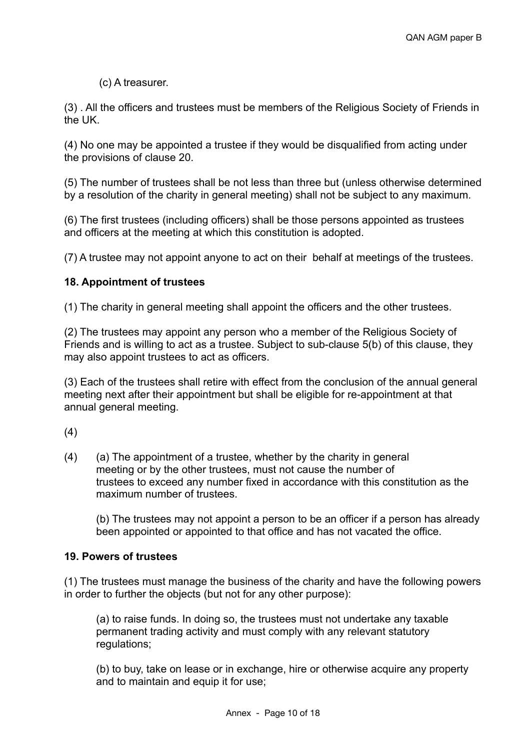# (c) A treasurer.

(3) . All the officers and trustees must be members of the Religious Society of Friends in the UK.

(4) No one may be appointed a trustee if they would be disqualified from acting under the provisions of clause 20.

(5) The number of trustees shall be not less than three but (unless otherwise determined by a resolution of the charity in general meeting) shall not be subject to any maximum.

(6) The first trustees (including officers) shall be those persons appointed as trustees and officers at the meeting at which this constitution is adopted.

(7) A trustee may not appoint anyone to act on their behalf at meetings of the trustees.

# **18. Appointment of trustees**

(1) The charity in general meeting shall appoint the officers and the other trustees.

(2) The trustees may appoint any person who a member of the Religious Society of Friends and is willing to act as a trustee. Subject to sub-clause 5(b) of this clause, they may also appoint trustees to act as officers.

(3) Each of the trustees shall retire with effect from the conclusion of the annual general meeting next after their appointment but shall be eligible for re-appointment at that annual general meeting.

(4)

(4) (a) The appointment of a trustee, whether by the charity in general meeting or by the other trustees, must not cause the number of trustees to exceed any number fixed in accordance with this constitution as the maximum number of trustees.

(b) The trustees may not appoint a person to be an officer if a person has already been appointed or appointed to that office and has not vacated the office.

## **19. Powers of trustees**

(1) The trustees must manage the business of the charity and have the following powers in order to further the objects (but not for any other purpose):

(a) to raise funds. In doing so, the trustees must not undertake any taxable permanent trading activity and must comply with any relevant statutory regulations;

(b) to buy, take on lease or in exchange, hire or otherwise acquire any property and to maintain and equip it for use;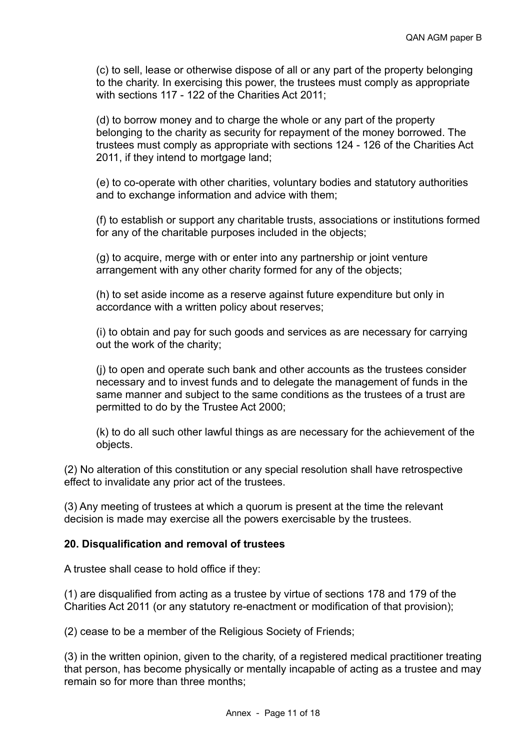(c) to sell, lease or otherwise dispose of all or any part of the property belonging to the charity. In exercising this power, the trustees must comply as appropriate with sections 117 - 122 of the Charities Act 2011;

(d) to borrow money and to charge the whole or any part of the property belonging to the charity as security for repayment of the money borrowed. The trustees must comply as appropriate with sections 124 - 126 of the Charities Act 2011, if they intend to mortgage land;

(e) to co-operate with other charities, voluntary bodies and statutory authorities and to exchange information and advice with them;

(f) to establish or support any charitable trusts, associations or institutions formed for any of the charitable purposes included in the objects;

(g) to acquire, merge with or enter into any partnership or joint venture arrangement with any other charity formed for any of the objects;

(h) to set aside income as a reserve against future expenditure but only in accordance with a written policy about reserves;

(i) to obtain and pay for such goods and services as are necessary for carrying out the work of the charity;

(j) to open and operate such bank and other accounts as the trustees consider necessary and to invest funds and to delegate the management of funds in the same manner and subject to the same conditions as the trustees of a trust are permitted to do by the Trustee Act 2000;

(k) to do all such other lawful things as are necessary for the achievement of the objects.

(2) No alteration of this constitution or any special resolution shall have retrospective effect to invalidate any prior act of the trustees.

(3) Any meeting of trustees at which a quorum is present at the time the relevant decision is made may exercise all the powers exercisable by the trustees.

## **20. Disqualification and removal of trustees**

A trustee shall cease to hold office if they:

(1) are disqualified from acting as a trustee by virtue of sections 178 and 179 of the Charities Act 2011 (or any statutory re-enactment or modification of that provision);

(2) cease to be a member of the Religious Society of Friends;

(3) in the written opinion, given to the charity, of a registered medical practitioner treating that person, has become physically or mentally incapable of acting as a trustee and may remain so for more than three months;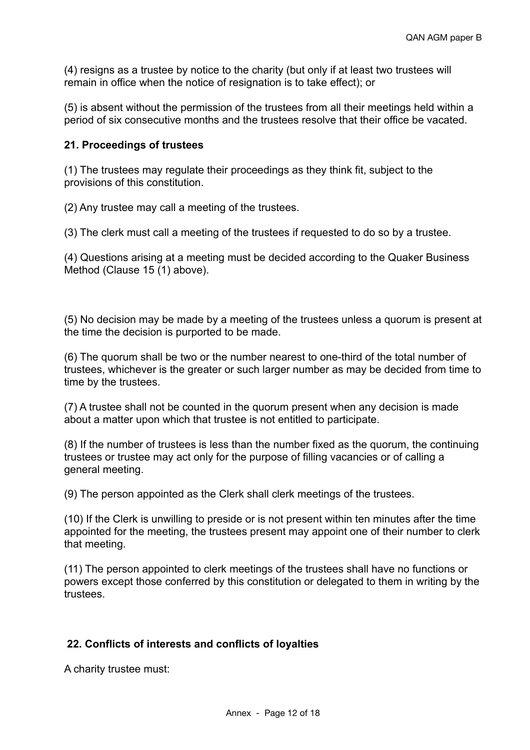(4) resigns as a trustee by notice to the charity (but only if at least two trustees will remain in office when the notice of resignation is to take effect); or

(5) is absent without the permission of the trustees from all their meetings held within a period of six consecutive months and the trustees resolve that their office be vacated.

## **21. Proceedings of trustees**

(1) The trustees may regulate their proceedings as they think fit, subject to the provisions of this constitution.

(2) Any trustee may call a meeting of the trustees.

(3) The clerk must call a meeting of the trustees if requested to do so by a trustee.

(4) Questions arising at a meeting must be decided according to the Quaker Business Method (Clause 15 (1) above).

(5) No decision may be made by a meeting of the trustees unless a quorum is present at the time the decision is purported to be made.

(6) The quorum shall be two or the number nearest to one-third of the total number of trustees, whichever is the greater or such larger number as may be decided from time to time by the trustees.

(7) A trustee shall not be counted in the quorum present when any decision is made about a matter upon which that trustee is not entitled to participate.

(8) If the number of trustees is less than the number fixed as the quorum, the continuing trustees or trustee may act only for the purpose of filling vacancies or of calling a general meeting.

(9) The person appointed as the Clerk shall clerk meetings of the trustees.

(10) If the Clerk is unwilling to preside or is not present within ten minutes after the time appointed for the meeting, the trustees present may appoint one of their number to clerk that meeting.

(11) The person appointed to clerk meetings of the trustees shall have no functions or powers except those conferred by this constitution or delegated to them in writing by the trustees.

## **22. Conflicts of interests and conflicts of loyalties**

A charity trustee must: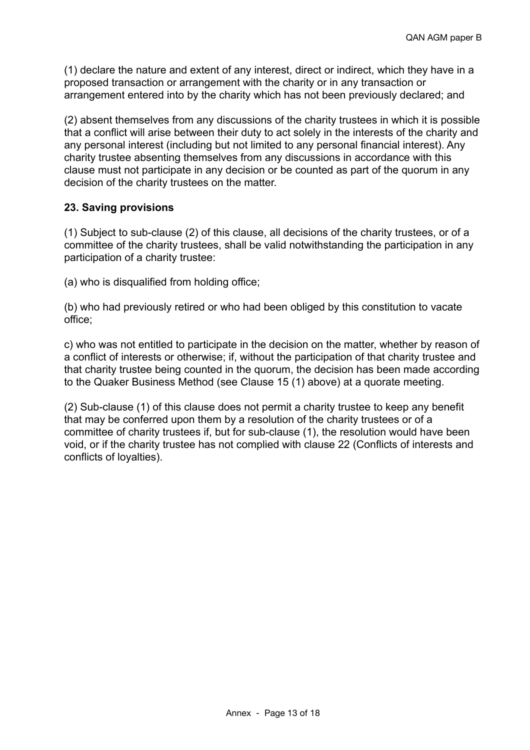(1) declare the nature and extent of any interest, direct or indirect, which they have in a proposed transaction or arrangement with the charity or in any transaction or arrangement entered into by the charity which has not been previously declared; and

(2) absent themselves from any discussions of the charity trustees in which it is possible that a conflict will arise between their duty to act solely in the interests of the charity and any personal interest (including but not limited to any personal financial interest). Any charity trustee absenting themselves from any discussions in accordance with this clause must not participate in any decision or be counted as part of the quorum in any decision of the charity trustees on the matter.

# **23. Saving provisions**

(1) Subject to sub-clause (2) of this clause, all decisions of the charity trustees, or of a committee of the charity trustees, shall be valid notwithstanding the participation in any participation of a charity trustee:

(a) who is disqualified from holding office;

(b) who had previously retired or who had been obliged by this constitution to vacate office;

c) who was not entitled to participate in the decision on the matter, whether by reason of a conflict of interests or otherwise; if, without the participation of that charity trustee and that charity trustee being counted in the quorum, the decision has been made according to the Quaker Business Method (see Clause 15 (1) above) at a quorate meeting.

(2) Sub-clause (1) of this clause does not permit a charity trustee to keep any benefit that may be conferred upon them by a resolution of the charity trustees or of a committee of charity trustees if, but for sub-clause (1), the resolution would have been void, or if the charity trustee has not complied with clause 22 (Conflicts of interests and conflicts of loyalties).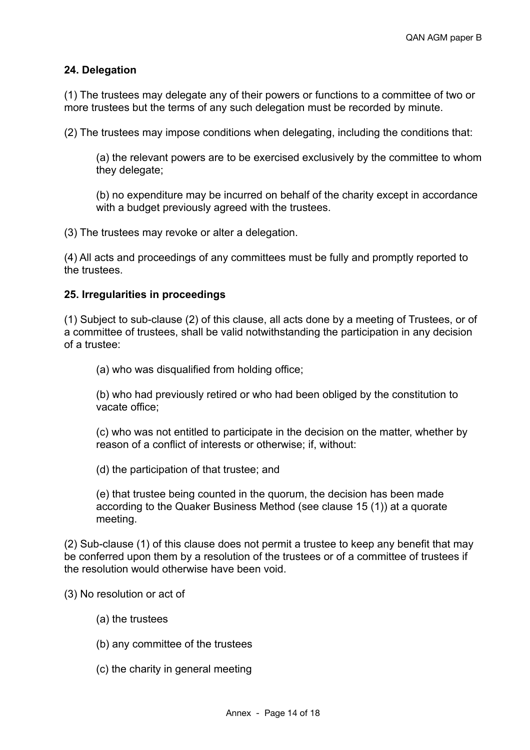## **24. Delegation**

(1) The trustees may delegate any of their powers or functions to a committee of two or more trustees but the terms of any such delegation must be recorded by minute.

(2) The trustees may impose conditions when delegating, including the conditions that:

(a) the relevant powers are to be exercised exclusively by the committee to whom they delegate;

(b) no expenditure may be incurred on behalf of the charity except in accordance with a budget previously agreed with the trustees.

(3) The trustees may revoke or alter a delegation.

(4) All acts and proceedings of any committees must be fully and promptly reported to the trustees.

### **25. Irregularities in proceedings**

(1) Subject to sub-clause (2) of this clause, all acts done by a meeting of Trustees, or of a committee of trustees, shall be valid notwithstanding the participation in any decision of a trustee:

(a) who was disqualified from holding office;

(b) who had previously retired or who had been obliged by the constitution to vacate office;

(c) who was not entitled to participate in the decision on the matter, whether by reason of a conflict of interests or otherwise; if, without:

(d) the participation of that trustee; and

(e) that trustee being counted in the quorum, the decision has been made according to the Quaker Business Method (see clause 15 (1)) at a quorate meeting.

(2) Sub-clause (1) of this clause does not permit a trustee to keep any benefit that may be conferred upon them by a resolution of the trustees or of a committee of trustees if the resolution would otherwise have been void.

(3) No resolution or act of

- (a) the trustees
- (b) any committee of the trustees
- (c) the charity in general meeting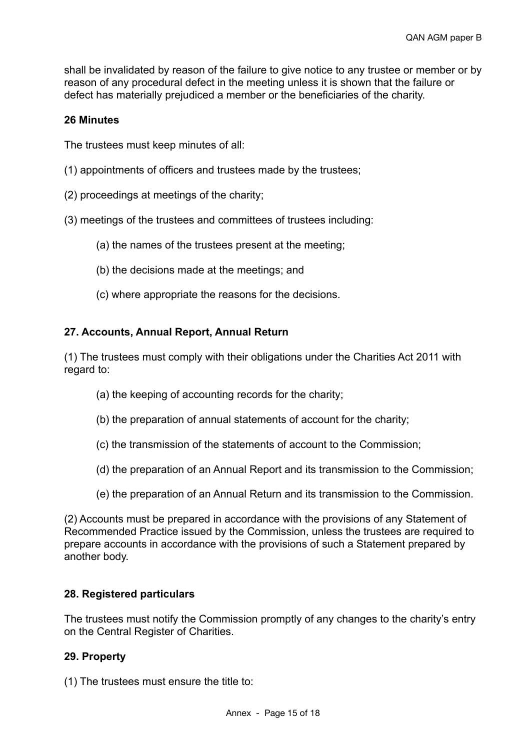shall be invalidated by reason of the failure to give notice to any trustee or member or by reason of any procedural defect in the meeting unless it is shown that the failure or defect has materially prejudiced a member or the beneficiaries of the charity.

### **26 Minutes**

The trustees must keep minutes of all:

- (1) appointments of officers and trustees made by the trustees;
- (2) proceedings at meetings of the charity;
- (3) meetings of the trustees and committees of trustees including:
	- (a) the names of the trustees present at the meeting;
	- (b) the decisions made at the meetings; and
	- (c) where appropriate the reasons for the decisions.

### **27. Accounts, Annual Report, Annual Return**

(1) The trustees must comply with their obligations under the Charities Act 2011 with regard to:

- (a) the keeping of accounting records for the charity;
- (b) the preparation of annual statements of account for the charity;
- (c) the transmission of the statements of account to the Commission;
- (d) the preparation of an Annual Report and its transmission to the Commission;
- (e) the preparation of an Annual Return and its transmission to the Commission.

(2) Accounts must be prepared in accordance with the provisions of any Statement of Recommended Practice issued by the Commission, unless the trustees are required to prepare accounts in accordance with the provisions of such a Statement prepared by another body.

#### **28. Registered particulars**

The trustees must notify the Commission promptly of any changes to the charity's entry on the Central Register of Charities.

#### **29. Property**

(1) The trustees must ensure the title to: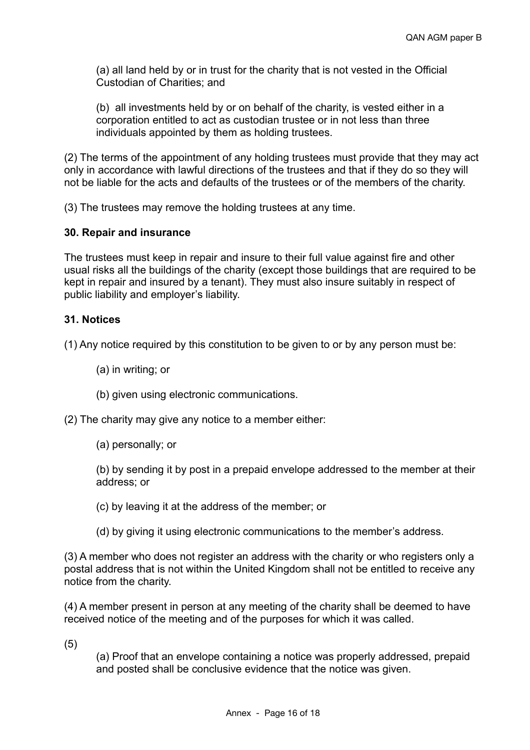(a) all land held by or in trust for the charity that is not vested in the Official Custodian of Charities; and

(b) all investments held by or on behalf of the charity, is vested either in a corporation entitled to act as custodian trustee or in not less than three individuals appointed by them as holding trustees.

(2) The terms of the appointment of any holding trustees must provide that they may act only in accordance with lawful directions of the trustees and that if they do so they will not be liable for the acts and defaults of the trustees or of the members of the charity.

(3) The trustees may remove the holding trustees at any time.

### **30. Repair and insurance**

The trustees must keep in repair and insure to their full value against fire and other usual risks all the buildings of the charity (except those buildings that are required to be kept in repair and insured by a tenant). They must also insure suitably in respect of public liability and employer's liability.

### **31. Notices**

(1) Any notice required by this constitution to be given to or by any person must be:

- (a) in writing; or
- (b) given using electronic communications.

(2) The charity may give any notice to a member either:

(a) personally; or

(b) by sending it by post in a prepaid envelope addressed to the member at their address; or

- (c) by leaving it at the address of the member; or
- (d) by giving it using electronic communications to the member's address.

(3) A member who does not register an address with the charity or who registers only a postal address that is not within the United Kingdom shall not be entitled to receive any notice from the charity.

(4) A member present in person at any meeting of the charity shall be deemed to have received notice of the meeting and of the purposes for which it was called.

(5)

(a) Proof that an envelope containing a notice was properly addressed, prepaid and posted shall be conclusive evidence that the notice was given.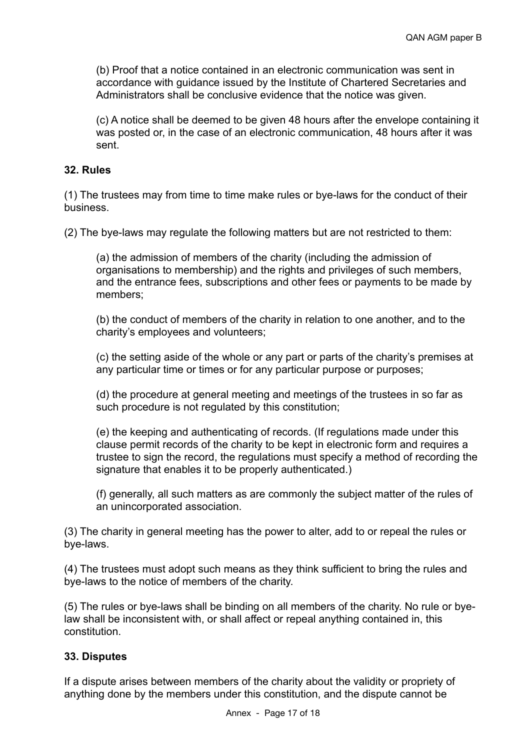(b) Proof that a notice contained in an electronic communication was sent in accordance with guidance issued by the Institute of Chartered Secretaries and Administrators shall be conclusive evidence that the notice was given.

(c) A notice shall be deemed to be given 48 hours after the envelope containing it was posted or, in the case of an electronic communication, 48 hours after it was sent.

### **32. Rules**

(1) The trustees may from time to time make rules or bye-laws for the conduct of their business.

(2) The bye-laws may regulate the following matters but are not restricted to them:

(a) the admission of members of the charity (including the admission of organisations to membership) and the rights and privileges of such members, and the entrance fees, subscriptions and other fees or payments to be made by members;

(b) the conduct of members of the charity in relation to one another, and to the charity's employees and volunteers;

(c) the setting aside of the whole or any part or parts of the charity's premises at any particular time or times or for any particular purpose or purposes;

(d) the procedure at general meeting and meetings of the trustees in so far as such procedure is not regulated by this constitution;

(e) the keeping and authenticating of records. (If regulations made under this clause permit records of the charity to be kept in electronic form and requires a trustee to sign the record, the regulations must specify a method of recording the signature that enables it to be properly authenticated.)

(f) generally, all such matters as are commonly the subject matter of the rules of an unincorporated association.

(3) The charity in general meeting has the power to alter, add to or repeal the rules or bye-laws.

(4) The trustees must adopt such means as they think sufficient to bring the rules and bye-laws to the notice of members of the charity.

(5) The rules or bye-laws shall be binding on all members of the charity. No rule or byelaw shall be inconsistent with, or shall affect or repeal anything contained in, this constitution.

## **33. Disputes**

If a dispute arises between members of the charity about the validity or propriety of anything done by the members under this constitution, and the dispute cannot be